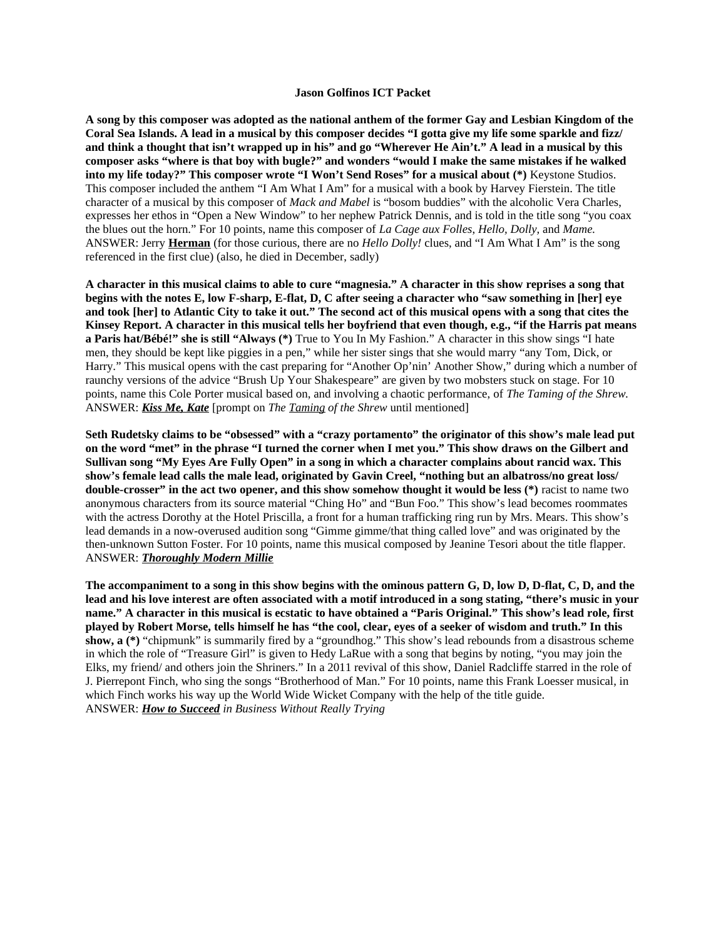## **Jason Golfinos ICT Packet**

**A song by this composer was adopted as the national anthem of the former Gay and Lesbian Kingdom of the Coral Sea Islands. A lead in a musical by this composer decides "I gotta give my life some sparkle and fizz/ and think a thought that isn't wrapped up in his" and go "Wherever He Ain't." A lead in a musical by this composer asks "where is that boy with bugle?" and wonders "would I make the same mistakes if he walked into my life today?" This composer wrote "I Won't Send Roses" for a musical about (\*)** Keystone Studios. This composer included the anthem "I Am What I Am" for a musical with a book by Harvey Fierstein. The title character of a musical by this composer of *Mack and Mabel* is "bosom buddies" with the alcoholic Vera Charles, expresses her ethos in "Open a New Window" to her nephew Patrick Dennis, and is told in the title song "you coax the blues out the horn." For 10 points, name this composer of *La Cage aux Folles*, *Hello, Dolly,* and *Mame.* ANSWER: Jerry **Herman** (for those curious, there are no *Hello Dolly!* clues, and "I Am What I Am" is the song referenced in the first clue) (also, he died in December, sadly)

**A character in this musical claims to able to cure "magnesia." A character in this show reprises a song that begins with the notes E, low F-sharp, E-flat, D, C after seeing a character who "saw something in [her] eye and took [her] to Atlantic City to take it out." The second act of this musical opens with a song that cites the Kinsey Report. A character in this musical tells her boyfriend that even though, e.g., "if the Harris pat means a Paris hat/Bébé!" she is still "Always (\*)** True to You In My Fashion." A character in this show sings "I hate men, they should be kept like piggies in a pen," while her sister sings that she would marry "any Tom, Dick, or Harry." This musical opens with the cast preparing for "Another Op'nin' Another Show," during which a number of raunchy versions of the advice "Brush Up Your Shakespeare" are given by two mobsters stuck on stage. For 10 points, name this Cole Porter musical based on, and involving a chaotic performance, of *The Taming of the Shrew.* ANSWER: *Kiss Me, Kate* [prompt on *The Taming of the Shrew* until mentioned]

**Seth Rudetsky claims to be "obsessed" with a "crazy portamento" the originator of this show's male lead put on the word "met" in the phrase "I turned the corner when I met you." This show draws on the Gilbert and Sullivan song "My Eyes Are Fully Open" in a song in which a character complains about rancid wax. This show's female lead calls the male lead, originated by Gavin Creel, "nothing but an albatross/no great loss/ double-crosser" in the act two opener, and this show somehow thought it would be less (\*)** racist to name two anonymous characters from its source material "Ching Ho" and "Bun Foo." This show's lead becomes roommates with the actress Dorothy at the Hotel Priscilla, a front for a human trafficking ring run by Mrs. Mears. This show's lead demands in a now-overused audition song "Gimme gimme/that thing called love" and was originated by the then-unknown Sutton Foster. For 10 points, name this musical composed by Jeanine Tesori about the title flapper. ANSWER: *Thoroughly Modern Millie*

**The accompaniment to a song in this show begins with the ominous pattern G, D, low D, D-flat, C, D, and the lead and his love interest are often associated with a motif introduced in a song stating, "there's music in your name." A character in this musical is ecstatic to have obtained a "Paris Original." This show's lead role, first played by Robert Morse, tells himself he has "the cool, clear, eyes of a seeker of wisdom and truth." In this show, a (\*)** "chipmunk" is summarily fired by a "groundhog." This show's lead rebounds from a disastrous scheme in which the role of "Treasure Girl" is given to Hedy LaRue with a song that begins by noting, "you may join the Elks, my friend/ and others join the Shriners." In a 2011 revival of this show, Daniel Radcliffe starred in the role of J. Pierrepont Finch, who sing the songs "Brotherhood of Man." For 10 points, name this Frank Loesser musical, in which Finch works his way up the World Wide Wicket Company with the help of the title guide. ANSWER: *How to Succeed in Business Without Really Trying*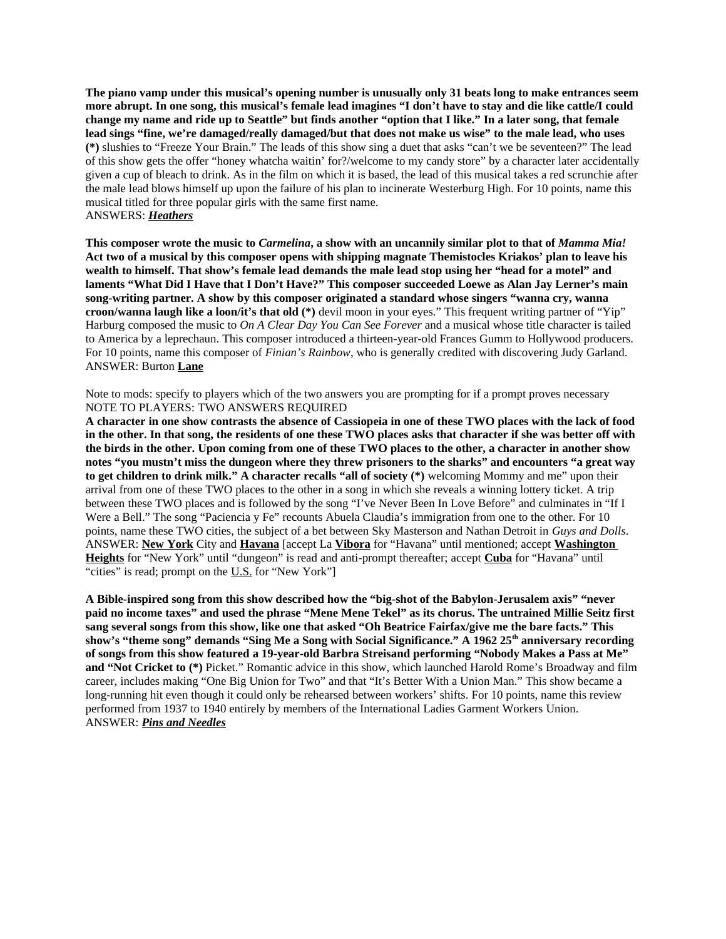**The piano vamp under this musical's opening number is unusually only 31 beats long to make entrances seem more abrupt. In one song, this musical's female lead imagines "I don't have to stay and die like cattle/I could change my name and ride up to Seattle" but finds another "option that I like." In a later song, that female lead sings "fine, we're damaged/really damaged/but that does not make us wise" to the male lead, who uses (\*)** slushies to "Freeze Your Brain." The leads of this show sing a duet that asks "can't we be seventeen?" The lead of this show gets the offer "honey whatcha waitin' for?/welcome to my candy store" by a character later accidentally given a cup of bleach to drink. As in the film on which it is based, the lead of this musical takes a red scrunchie after the male lead blows himself up upon the failure of his plan to incinerate Westerburg High. For 10 points, name this musical titled for three popular girls with the same first name. ANSWERS: *Heathers*

**This composer wrote the music to** *Carmelina***, a show with an uncannily similar plot to that of** *Mamma Mia!* **Act two of a musical by this composer opens with shipping magnate Themistocles Kriakos' plan to leave his wealth to himself. That show's female lead demands the male lead stop using her "head for a motel" and laments "What Did I Have that I Don't Have?" This composer succeeded Loewe as Alan Jay Lerner's main song-writing partner. A show by this composer originated a standard whose singers "wanna cry, wanna croon/wanna laugh like a loon/it's that old (\*)** devil moon in your eyes." This frequent writing partner of "Yip" Harburg composed the music to *On A Clear Day You Can See Forever* and a musical whose title character is tailed to America by a leprechaun. This composer introduced a thirteen-year-old Frances Gumm to Hollywood producers. For 10 points, name this composer of *Finian's Rainbow*, who is generally credited with discovering Judy Garland. ANSWER: Burton **Lane**

Note to mods: specify to players which of the two answers you are prompting for if a prompt proves necessary NOTE TO PLAYERS: TWO ANSWERS REQUIRED

**A character in one show contrasts the absence of Cassiopeia in one of these TWO places with the lack of food in the other. In that song, the residents of one these TWO places asks that character if she was better off with the birds in the other. Upon coming from one of these TWO places to the other, a character in another show notes "you mustn't miss the dungeon where they threw prisoners to the sharks" and encounters "a great way to get children to drink milk." A character recalls "all of society (\*)** welcoming Mommy and me" upon their arrival from one of these TWO places to the other in a song in which she reveals a winning lottery ticket. A trip between these TWO places and is followed by the song "I've Never Been In Love Before" and culminates in "If I Were a Bell." The song "Paciencia y Fe" recounts Abuela Claudia's immigration from one to the other. For 10 points, name these TWO cities, the subject of a bet between Sky Masterson and Nathan Detroit in *Guys and Dolls*. ANSWER: **New York** City and **Havana** [accept La **Vibora** for "Havana" until mentioned; accept **Washington Heights** for "New York" until "dungeon" is read and anti-prompt thereafter; accept **Cuba** for "Havana" until "cities" is read; prompt on the  $U.S.$  for "New York"]

**A Bible-inspired song from this show described how the "big-shot of the Babylon-Jerusalem axis" "never paid no income taxes" and used the phrase "Mene Mene Tekel" as its chorus. The untrained Millie Seitz first sang several songs from this show, like one that asked "Oh Beatrice Fairfax/give me the bare facts." This show's "theme song" demands "Sing Me a Song with Social Significance." A 1962 25th anniversary recording of songs from this show featured a 19-year-old Barbra Streisand performing "Nobody Makes a Pass at Me" and "Not Cricket to (\*)** Picket." Romantic advice in this show, which launched Harold Rome's Broadway and film career, includes making "One Big Union for Two" and that "It's Better With a Union Man." This show became a long-running hit even though it could only be rehearsed between workers' shifts. For 10 points, name this review performed from 1937 to 1940 entirely by members of the International Ladies Garment Workers Union. ANSWER: *Pins and Needles*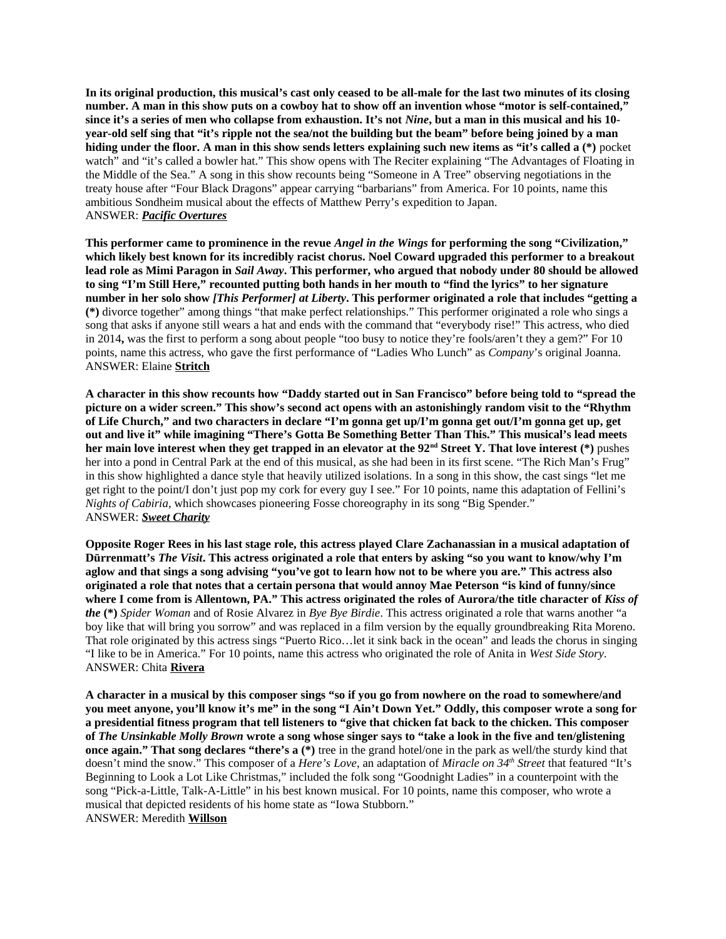**In its original production, this musical's cast only ceased to be all-male for the last two minutes of its closing number. A man in this show puts on a cowboy hat to show off an invention whose "motor is self-contained," since it's a series of men who collapse from exhaustion. It's not** *Nine***, but a man in this musical and his 10 year-old self sing that "it's ripple not the sea/not the building but the beam" before being joined by a man hiding under the floor. A man in this show sends letters explaining such new items as "it's called a (\*)** pocket watch" and "it's called a bowler hat." This show opens with The Reciter explaining "The Advantages of Floating in the Middle of the Sea." A song in this show recounts being "Someone in A Tree" observing negotiations in the treaty house after "Four Black Dragons" appear carrying "barbarians" from America. For 10 points, name this ambitious Sondheim musical about the effects of Matthew Perry's expedition to Japan. ANSWER: *Pacific Overtures*

**This performer came to prominence in the revue** *Angel in the Wings* **for performing the song "Civilization," which likely best known for its incredibly racist chorus. Noel Coward upgraded this performer to a breakout lead role as Mimi Paragon in** *Sail Away***. This performer, who argued that nobody under 80 should be allowed to sing "I'm Still Here," recounted putting both hands in her mouth to "find the lyrics" to her signature number in her solo show** *[This Performer] at Liberty***. This performer originated a role that includes "getting a (\*)** divorce together" among things "that make perfect relationships." This performer originated a role who sings a song that asks if anyone still wears a hat and ends with the command that "everybody rise!" This actress, who died in 2014**,** was the first to perform a song about people "too busy to notice they're fools/aren't they a gem?" For 10 points, name this actress, who gave the first performance of "Ladies Who Lunch" as *Company*'s original Joanna. ANSWER: Elaine **Stritch**

**A character in this show recounts how "Daddy started out in San Francisco" before being told to "spread the picture on a wider screen." This show's second act opens with an astonishingly random visit to the "Rhythm of Life Church," and two characters in declare "I'm gonna get up/I'm gonna get out/I'm gonna get up, get out and live it" while imagining "There's Gotta Be Something Better Than This." This musical's lead meets her main love interest when they get trapped in an elevator at the 92nd Street Y. That love interest (\*)** pushes her into a pond in Central Park at the end of this musical, as she had been in its first scene. "The Rich Man's Frug" in this show highlighted a dance style that heavily utilized isolations. In a song in this show, the cast sings "let me get right to the point/I don't just pop my cork for every guy I see." For 10 points, name this adaptation of Fellini's *Nights of Cabiria*, which showcases pioneering Fosse choreography in its song "Big Spender." ANSWER: *Sweet Charity*

**Opposite Roger Rees in his last stage role, this actress played Clare Zachanassian in a musical adaptation of Dūrrenmatt's** *The Visit***. This actress originated a role that enters by asking "so you want to know/why I'm aglow and that sings a song advising "you've got to learn how not to be where you are." This actress also originated a role that notes that a certain persona that would annoy Mae Peterson "is kind of funny/since where I come from is Allentown, PA." This actress originated the roles of Aurora/the title character of** *Kiss of the* **(\*)** *Spider Woman* and of Rosie Alvarez in *Bye Bye Birdie*. This actress originated a role that warns another "a boy like that will bring you sorrow" and was replaced in a film version by the equally groundbreaking Rita Moreno. That role originated by this actress sings "Puerto Rico…let it sink back in the ocean" and leads the chorus in singing "I like to be in America." For 10 points, name this actress who originated the role of Anita in *West Side Story*. ANSWER: Chita **Rivera**

**A character in a musical by this composer sings "so if you go from nowhere on the road to somewhere/and you meet anyone, you'll know it's me" in the song "I Ain't Down Yet." Oddly, this composer wrote a song for a presidential fitness program that tell listeners to "give that chicken fat back to the chicken. This composer of** *The Unsinkable Molly Brown* **wrote a song whose singer says to "take a look in the five and ten/glistening once again." That song declares "there's a (\*)** tree in the grand hotel/one in the park as well/the sturdy kind that doesn't mind the snow." This composer of a *Here's Love*, an adaptation of *Miracle on 34th Street* that featured "It's Beginning to Look a Lot Like Christmas," included the folk song "Goodnight Ladies" in a counterpoint with the song "Pick-a-Little, Talk-A-Little" in his best known musical. For 10 points, name this composer, who wrote a musical that depicted residents of his home state as "Iowa Stubborn." ANSWER: Meredith **Willson**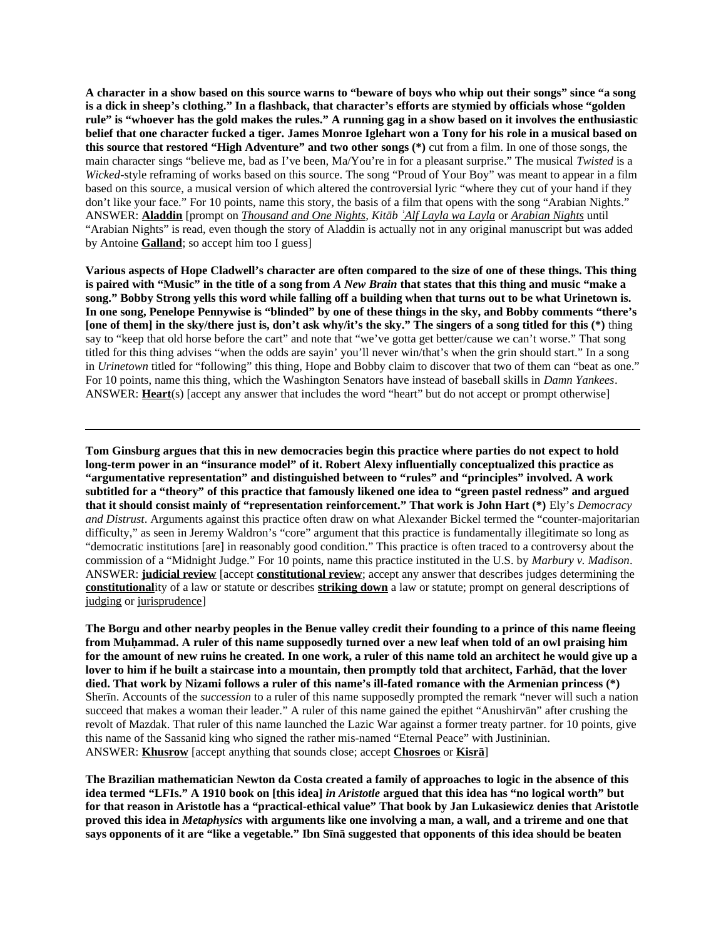**A character in a show based on this source warns to "beware of boys who whip out their songs" since "a song is a dick in sheep's clothing." In a flashback, that character's efforts are stymied by officials whose "golden rule" is "whoever has the gold makes the rules." A running gag in a show based on it involves the enthusiastic belief that one character fucked a tiger. James Monroe Iglehart won a Tony for his role in a musical based on this source that restored "High Adventure" and two other songs (\*)** cut from a film. In one of those songs, the main character sings "believe me, bad as I've been, Ma/You're in for a pleasant surprise." The musical *Twisted* is a *Wicked*-style reframing of works based on this source. The song "Proud of Your Boy" was meant to appear in a film based on this source, a musical version of which altered the controversial lyric "where they cut of your hand if they don't like your face." For 10 points, name this story, the basis of a film that opens with the song "Arabian Nights." ANSWER: **Aladdin** [prompt on *Thousand and One Nights*, *Kitāb ʾAlf Layla wa Layla* or *Arabian Nights* until "Arabian Nights" is read, even though the story of Aladdin is actually not in any original manuscript but was added by Antoine **Galland**; so accept him too I guess]

**Various aspects of Hope Cladwell's character are often compared to the size of one of these things. This thing is paired with "Music" in the title of a song from** *A New Brain* **that states that this thing and music "make a song." Bobby Strong yells this word while falling off a building when that turns out to be what Urinetown is. In one song, Penelope Pennywise is "blinded" by one of these things in the sky, and Bobby comments "there's [one of them] in the sky/there just is, don't ask why/it's the sky." The singers of a song titled for this (\*)** thing say to "keep that old horse before the cart" and note that "we've gotta get better/cause we can't worse." That song titled for this thing advises "when the odds are sayin' you'll never win/that's when the grin should start." In a song in *Urinetown* titled for "following" this thing, Hope and Bobby claim to discover that two of them can "beat as one." For 10 points, name this thing, which the Washington Senators have instead of baseball skills in *Damn Yankees*. ANSWER: **Heart**(s) [accept any answer that includes the word "heart" but do not accept or prompt otherwise]

**Tom Ginsburg argues that this in new democracies begin this practice where parties do not expect to hold long-term power in an "insurance model" of it. Robert Alexy influentially conceptualized this practice as "argumentative representation" and distinguished between to "rules" and "principles" involved. A work subtitled for a "theory" of this practice that famously likened one idea to "green pastel redness" and argued that it should consist mainly of "representation reinforcement." That work is John Hart (\*)** Ely's *Democracy and Distrust*. Arguments against this practice often draw on what Alexander Bickel termed the "counter-majoritarian difficulty," as seen in Jeremy Waldron's "core" argument that this practice is fundamentally illegitimate so long as "democratic institutions [are] in reasonably good condition." This practice is often traced to a controversy about the commission of a "Midnight Judge." For 10 points, name this practice instituted in the U.S. by *Marbury v. Madison*. ANSWER: **judicial review** [accept **constitutional review**; accept any answer that describes judges determining the **constitutional**ity of a law or statute or describes **striking down** a law or statute; prompt on general descriptions of judging or jurisprudence]

**The Borgu and other nearby peoples in the Benue valley credit their founding to a prince of this name fleeing from Muḥammad. A ruler of this name supposedly turned over a new leaf when told of an owl praising him for the amount of new ruins he created. In one work, a ruler of this name told an architect he would give up a lover to him if he built a staircase into a mountain, then promptly told that architect, Farhād, that the lover died. That work by Nizami follows a ruler of this name's ill-fated romance with the Armenian princess (\*)**  Sherīn. Accounts of the *succession* to a ruler of this name supposedly prompted the remark "never will such a nation succeed that makes a woman their leader." A ruler of this name gained the epithet "Anushirvān" after crushing the revolt of Mazdak. That ruler of this name launched the Lazic War against a former treaty partner. for 10 points, give this name of the Sassanid king who signed the rather mis-named "Eternal Peace" with Justininian. ANSWER: **Khusrow** [accept anything that sounds close; accept **Chosroes** or **Kisrā**]

**The Brazilian mathematician Newton da Costa created a family of approaches to logic in the absence of this idea termed "LFIs." A 1910 book on [this idea]** *in Aristotle* **argued that this idea has "no logical worth" but for that reason in Aristotle has a "practical-ethical value" That book by Jan Lukasiewicz denies that Aristotle proved this idea in** *Metaphysics* **with arguments like one involving a man, a wall, and a trireme and one that says opponents of it are "like a vegetable." Ibn Sīnā suggested that opponents of this idea should be beaten**